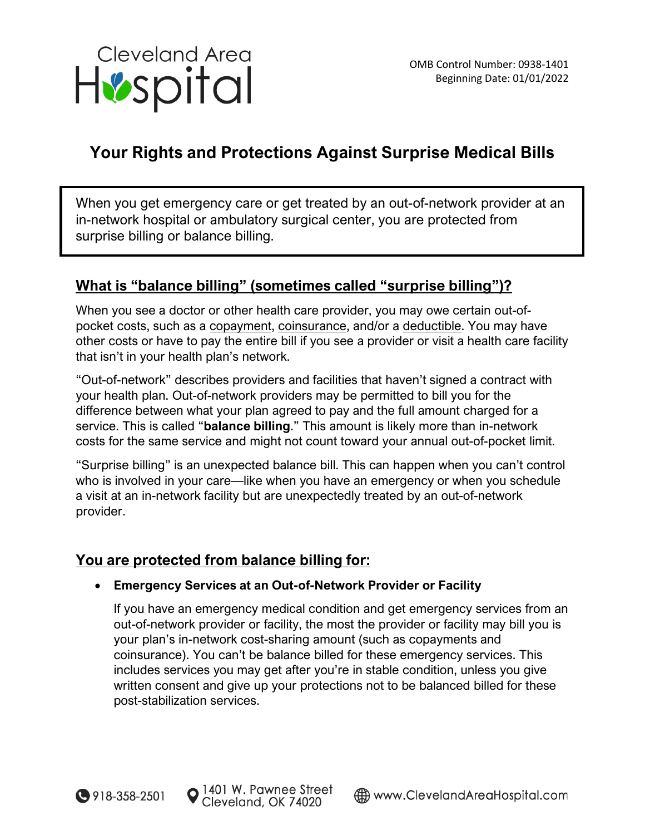

# **Your Rights and Protections Against Surprise Medical Bills**

When you get emergency care or get treated by an out-of-network provider at an in-network hospital or ambulatory surgical center, you are protected from surprise billing or balance billing.

## **What is "balance billing" (sometimes called "surprise billing")?**

When you see a doctor or other health care provider, you may owe certain out-ofpocket costs, such as a copayment, coinsurance, and/or a deductible. You may have other costs or have to pay the entire bill if you see a provider or visit a health care facility that isn't in your health plan's network.

"Out-of-network" describes providers and facilities that haven't signed a contract with your health plan. Out-of-network providers may be permitted to bill you for the difference between what your plan agreed to pay and the full amount charged for a service. This is called "**balance billing**." This amount is likely more than in-network costs for the same service and might not count toward your annual out-of-pocket limit.

"Surprise billing" is an unexpected balance bill. This can happen when you can't control who is involved in your care—like when you have an emergency or when you schedule a visit at an in-network facility but are unexpectedly treated by an out-of-network provider.

## **You are protected from balance billing for:**

### • **Emergency Services at an Out-of-Network Provider or Facility**

If you have an emergency medical condition and get emergency services from an out-of-network provider or facility, the most the provider or facility may bill you is your plan's in-network cost-sharing amount (such as copayments and coinsurance). You can't be balance billed for these emergency services. This includes services you may get after you're in stable condition, unless you give written consent and give up your protections not to be balanced billed for these post-stabilization services.